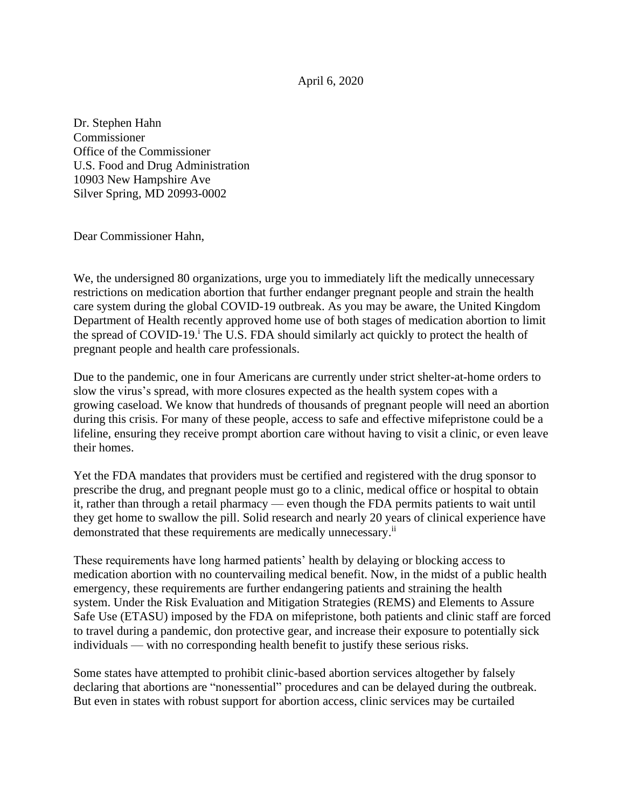April 6, 2020

Dr. Stephen Hahn Commissioner Office of the Commissioner U.S. Food and Drug Administration 10903 New Hampshire Ave Silver Spring, MD 20993-0002

Dear Commissioner Hahn,

We, the undersigned 80 organizations, urge you to immediately lift the medically unnecessary restrictions on medication abortion that further endanger pregnant people and strain the health care system during the global COVID-19 outbreak. As you may be aware, the United Kingdom Department of Health recently approved home use of both stages of medication abortion to limit the spread of COVID-19.<sup>i</sup> The U.S. FDA should similarly act quickly to protect the health of pregnant people and health care professionals.

Due to the pandemic, one in four Americans are currently under strict shelter-at-home orders to slow the virus's spread, with more closures expected as the health system copes with a growing caseload. We know that hundreds of thousands of pregnant people will need an abortion during this crisis. For many of these people, access to safe and effective mifepristone could be a lifeline, ensuring they receive prompt abortion care without having to visit a clinic, or even leave their homes.

Yet the FDA mandates that providers must be certified and registered with the drug sponsor to prescribe the drug, and pregnant people must go to a clinic, medical office or hospital to obtain it, rather than through a retail pharmacy — even though the FDA permits patients to wait until they get home to swallow the pill. Solid research and nearly 20 years of clinical experience have demonstrated that these requirements are medically unnecessary.<sup>ii</sup>

These requirements have long harmed patients' health by delaying or blocking access to medication abortion with no countervailing medical benefit. Now, in the midst of a public health emergency, these requirements are further endangering patients and straining the health system. Under the Risk Evaluation and Mitigation Strategies (REMS) and Elements to Assure Safe Use (ETASU) imposed by the FDA on mifepristone, both patients and clinic staff are forced to travel during a pandemic, don protective gear, and increase their exposure to potentially sick individuals — with no corresponding health benefit to justify these serious risks.

Some states have attempted to prohibit clinic-based abortion services altogether by falsely declaring that abortions are "nonessential" procedures and can be delayed during the outbreak. But even in states with robust support for abortion access, clinic services may be curtailed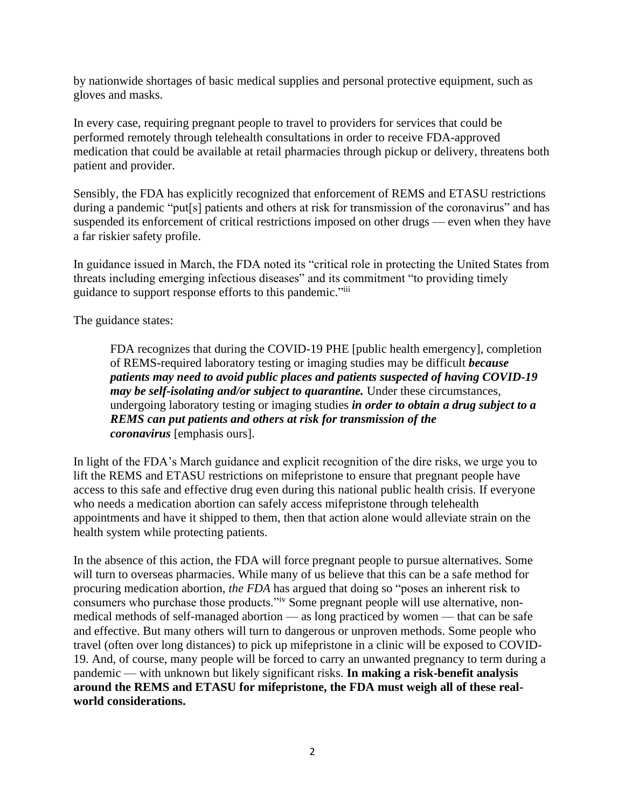by nationwide shortages of basic medical supplies and personal protective equipment, such as gloves and masks.

In every case, requiring pregnant people to travel to providers for services that could be performed remotely through telehealth consultations in order to receive FDA-approved medication that could be available at retail pharmacies through pickup or delivery, threatens both patient and provider.

Sensibly, the FDA has explicitly recognized that enforcement of REMS and ETASU restrictions during a pandemic "put<sup>[s]</sup> patients and others at risk for transmission of the coronavirus" and has suspended its enforcement of critical restrictions imposed on other drugs — even when they have a far riskier safety profile.

In guidance issued in March, the FDA noted its "critical role in protecting the United States from threats including emerging infectious diseases" and its commitment "to providing timely guidance to support response efforts to this pandemic."iii

The guidance states:

FDA recognizes that during the COVID-19 PHE [public health emergency], completion of REMS-required laboratory testing or imaging studies may be difficult *because patients may need to avoid public places and patients suspected of having COVID-19 may be self-isolating and/or subject to quarantine.* Under these circumstances, undergoing laboratory testing or imaging studies *in order to obtain a drug subject to a REMS can put patients and others at risk for transmission of the coronavirus* [emphasis ours].

In light of the FDA's March guidance and explicit recognition of the dire risks, we urge you to lift the REMS and ETASU restrictions on mifepristone to ensure that pregnant people have access to this safe and effective drug even during this national public health crisis. If everyone who needs a medication abortion can safely access mifepristone through telehealth appointments and have it shipped to them, then that action alone would alleviate strain on the health system while protecting patients.

In the absence of this action, the FDA will force pregnant people to pursue alternatives. Some will turn to overseas pharmacies. While many of us believe that this can be a safe method for procuring medication abortion, *the FDA* has argued that doing so "poses an inherent risk to consumers who purchase those products."<sup>iv</sup> Some pregnant people will use alternative, nonmedical methods of self-managed abortion — as long practiced by women — that can be safe and effective. But many others will turn to dangerous or unproven methods. Some people who travel (often over long distances) to pick up mifepristone in a clinic will be exposed to COVID-19. And, of course, many people will be forced to carry an unwanted pregnancy to term during a pandemic — with unknown but likely significant risks. **In making a risk-benefit analysis around the REMS and ETASU for mifepristone, the FDA must weigh all of these realworld considerations.**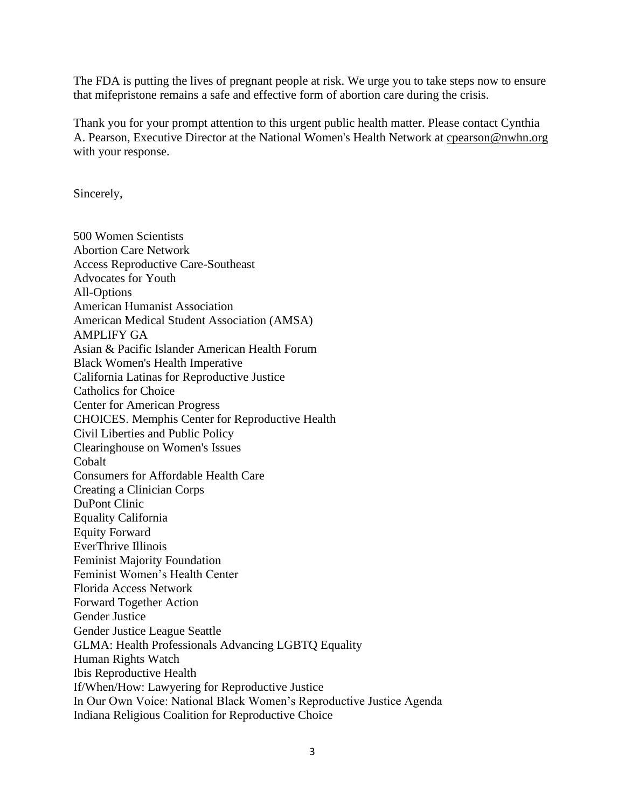The FDA is putting the lives of pregnant people at risk. We urge you to take steps now to ensure that mifepristone remains a safe and effective form of abortion care during the crisis.

Thank you for your prompt attention to this urgent public health matter. Please contact Cynthia A. Pearson, Executive Director at the National Women's Health Network at [cpearson@nwhn.org](mailto:cpearson@nwhn.org)  with your response.

Sincerely,

500 Women Scientists Abortion Care Network Access Reproductive Care-Southeast Advocates for Youth All-Options American Humanist Association American Medical Student Association (AMSA) AMPLIFY GA Asian & Pacific Islander American Health Forum Black Women's Health Imperative California Latinas for Reproductive Justice Catholics for Choice Center for American Progress CHOICES. Memphis Center for Reproductive Health Civil Liberties and Public Policy Clearinghouse on Women's Issues Cobalt Consumers for Affordable Health Care Creating a Clinician Corps DuPont Clinic Equality California Equity Forward EverThrive Illinois Feminist Majority Foundation Feminist Women's Health Center Florida Access Network Forward Together Action Gender Justice Gender Justice League Seattle GLMA: Health Professionals Advancing LGBTQ Equality Human Rights Watch Ibis Reproductive Health If/When/How: Lawyering for Reproductive Justice In Our Own Voice: National Black Women's Reproductive Justice Agenda Indiana Religious Coalition for Reproductive Choice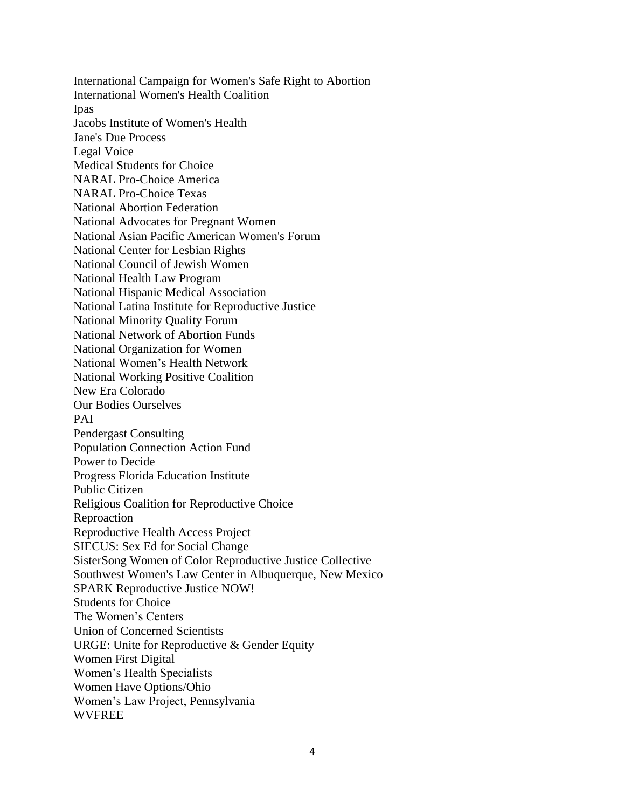International Campaign for Women's Safe Right to Abortion International Women's Health Coalition Ipas Jacobs Institute of Women's Health Jane's Due Process Legal Voice Medical Students for Choice NARAL Pro-Choice America NARAL Pro-Choice Texas National Abortion Federation National Advocates for Pregnant Women National Asian Pacific American Women's Forum National Center for Lesbian Rights National Council of Jewish Women National Health Law Program National Hispanic Medical Association National Latina Institute for Reproductive Justice National Minority Quality Forum National Network of Abortion Funds National Organization for Women National Women's Health Network National Working Positive Coalition New Era Colorado Our Bodies Ourselves PAI Pendergast Consulting Population Connection Action Fund Power to Decide Progress Florida Education Institute Public Citizen Religious Coalition for Reproductive Choice Reproaction Reproductive Health Access Project SIECUS: Sex Ed for Social Change SisterSong Women of Color Reproductive Justice Collective Southwest Women's Law Center in Albuquerque, New Mexico SPARK Reproductive Justice NOW! Students for Choice The Women's Centers Union of Concerned Scientists URGE: Unite for Reproductive & Gender Equity Women First Digital Women's Health Specialists Women Have Options/Ohio Women's Law Project, Pennsylvania **WVFREE**